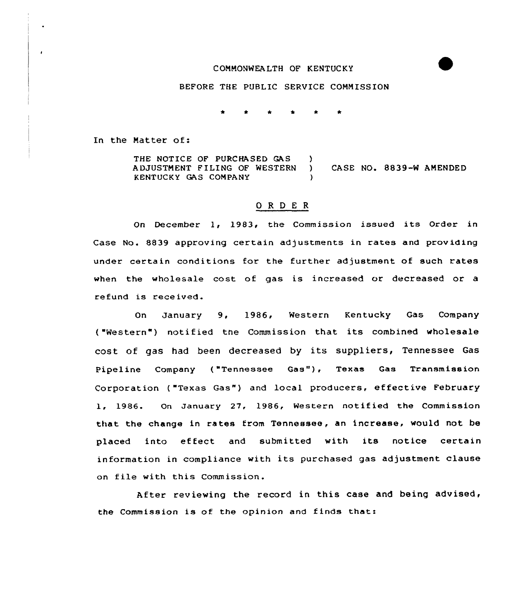### COMMONWEALTH OF KENTUCKY



### BEFORE THE PUBLIC SERVICE COMMISSION

\* \* \* \*

In the Natter of:

THE NOTICE OF PURCHASED GAS ADJUSTMENT FILING OF WESTERN ) CASE NO. 8839-W AMENDED KENTUCKY GAS COMPANY )

# 0 <sup>R</sup> <sup>D</sup> <sup>E</sup> <sup>R</sup>

On December 1, 1983, the Commission issued its Order in Case No. 8839 approving certain adjustments in rates and providing under certain conditions for the further adjustment of such rates when the wholesale cost of gas is increased or decreased or a refund is received.

On January 9, 1986, Western Kentucky Gas Company ("Western" ) notified tne Commission that its combined wholesale cost of gas had been decreased by its suppliers, Tennessee Gas Pipeline Company ("Tennessee Gas"), Texas Gas Transmission Corporation ("Texas Gas") and local producers, effective February 1, 1986. On January 27, 1986, Western notified the Commission that the change in rates from Tennessee, an increase, would not be placed into effect and submitted with its notice certain information in compliance with its purchased gas adjustment clause on file with this Commission.

After reviewing the record in this case and being advised, the Commission is of the opinion and finds that: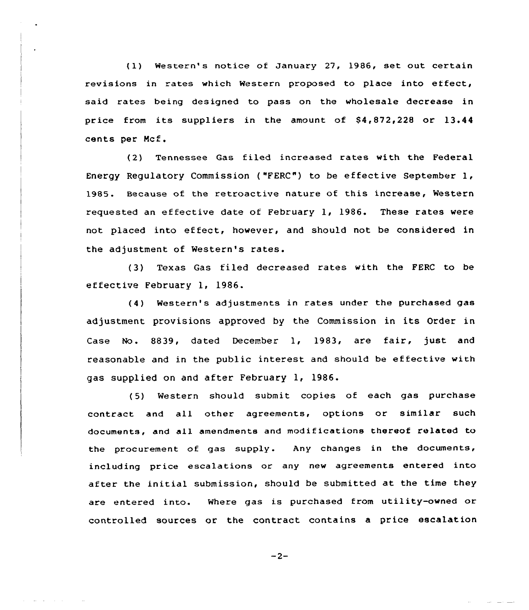(1) Western's notice of January 27, 1986, set out certain revisions in rates which Western proposed to place into effect, said rates being designed to pass on the wholesale decrease in price from its suppliers in the amount of  $$4,872,228$  or  $13.44$ cents per Mcf.

(2) Tennessee Gas filed increased rates with the Federal Energy Regulatory Commission ("FERC") to be effective September 1, 1985. Because of the retroactive nature of this increase, Western requested an effective date of February 1, 1986. These rates were not placed into ef feet, however, and should not be considered in the adjustment of Western's rates.

(3) Texas Gas filed decreased rates with the FERC to be effective February 1, 1986.

(4) Western's adjustments in rates under the purchased gas adjustment provisions approved by the Commission in its Order in Case No. 8839, dated December 1, 1983, are fair, just and reasonable and in the public interest and should be effective with gas supplied on and after February 1, 1986.

(5) Western should submit copies of each gas purchase contract and all other agreements, options or similar such documents, and all amendments and modif ications thereof related to the procurement of gas supply. Any changes in the documents, including price escalations or any new agreements entered into after the initial submission, should be submitted at the time they are entered into. Where gas is purchased from utility-owned or controlled sources or the contract contains a price escalation

 $-2-$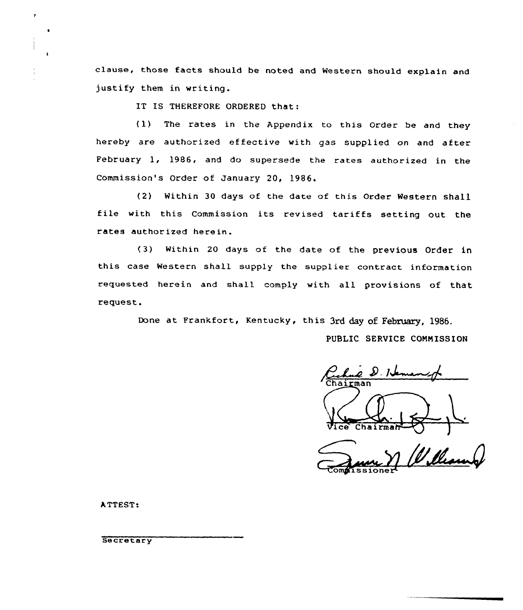clause, those facts should be noted and Western should explain and justify them in writing.

IT IS THEREFORE ORDERED that:

(1) The rates in the Appendix to this Order be and they hereby are authorized effective with gas supplied on and after February 1, 1986, and do supersede the rates authorized in the Commission's Order of January 20, 1986.

{2) Within 30 days of the date of this Order Western shall file with this Commission its revised tariffs setting out the rates authorized herein.

(3) Within 20 days of the date of the previous Order in this case Western shall supply the supplier contract information requested herein and shall comply with all provisions of that request.

> Done at Frankfort, Kentucky, this 3rd day of February. 1986. PUBLIC SERVICE CONNISSION

e D. IJ Vice Chairman

June 7 ( Cleanup

ATTEST.

secretary